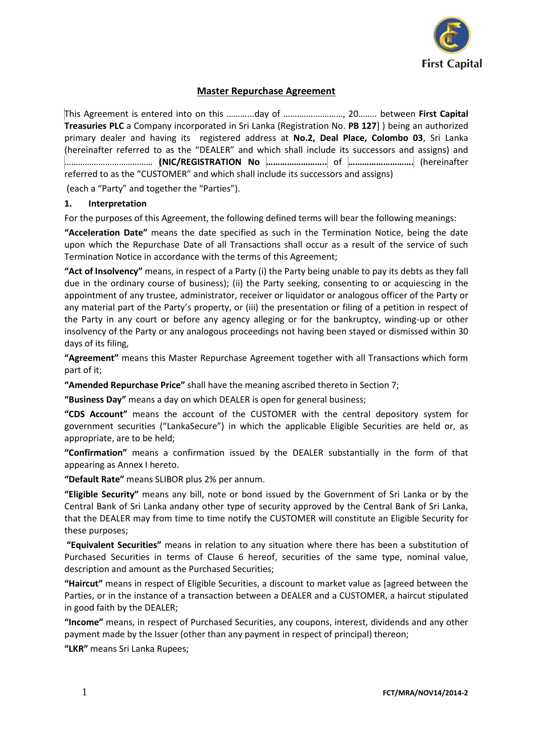

# **Master Repurchase Agreement**

This Agreement is entered into on this ………...day of …………..…………, 20…….. between **First Capital Treasuries PLC** a Company incorporated in Sri Lanka (Registration No. **PB 127**] ) being an authorized primary dealer and having its registered address at **No.2, Deal Place, Colombo 03**, Sri Lanka (hereinafter referred to as the "DEALER" and which shall include its successors and assigns) and ………………………………… **(NIC/REGISTRATION No ……………………..** of **……………………….** (hereinafter referred to as the "CUSTOMER" and which shall include its successors and assigns)

(each a "Party" and together the "Parties").

### **1. Interpretation**

For the purposes of this Agreement, the following defined terms will bear the following meanings:

**"Acceleration Date"** means the date specified as such in the Termination Notice, being the date upon which the Repurchase Date of all Transactions shall occur as a result of the service of such Termination Notice in accordance with the terms of this Agreement;

**"Act of Insolvency"** means, in respect of a Party (i) the Party being unable to pay its debts as they fall due in the ordinary course of business); (ii) the Party seeking, consenting to or acquiescing in the appointment of any trustee, administrator, receiver or liquidator or analogous officer of the Party or any material part of the Party's property, or (iii) the presentation or filing of a petition in respect of the Party in any court or before any agency alleging or for the bankruptcy, winding-up or other insolvency of the Party or any analogous proceedings not having been stayed or dismissed within 30 days of its filing,

**"Agreement"** means this Master Repurchase Agreement together with all Transactions which form part of it;

**"Amended Repurchase Price"** shall have the meaning ascribed thereto in Section 7;

**"Business Day"** means a day on which DEALER is open for general business;

**"CDS Account"** means the account of the CUSTOMER with the central depository system for government securities ("LankaSecure") in which the applicable Eligible Securities are held or, as appropriate, are to be held;

**"Confirmation"** means a confirmation issued by the DEALER substantially in the form of that appearing as Annex I hereto.

**"Default Rate"** means SLIBOR plus 2% per annum.

**"Eligible Security"** means any bill, note or bond issued by the Government of Sri Lanka or by the Central Bank of Sri Lanka andany other type of security approved by the Central Bank of Sri Lanka, that the DEALER may from time to time notify the CUSTOMER will constitute an Eligible Security for these purposes;

**"Equivalent Securities"** means in relation to any situation where there has been a substitution of Purchased Securities in terms of Clause 6 hereof, securities of the same type, nominal value, description and amount as the Purchased Securities;

**"Haircut"** means in respect of Eligible Securities, a discount to market value as [agreed between the Parties, or in the instance of a transaction between a DEALER and a CUSTOMER, a haircut stipulated in good faith by the DEALER;

**"Income"** means, in respect of Purchased Securities, any coupons, interest, dividends and any other payment made by the Issuer (other than any payment in respect of principal) thereon;

**"LKR"** means Sri Lanka Rupees;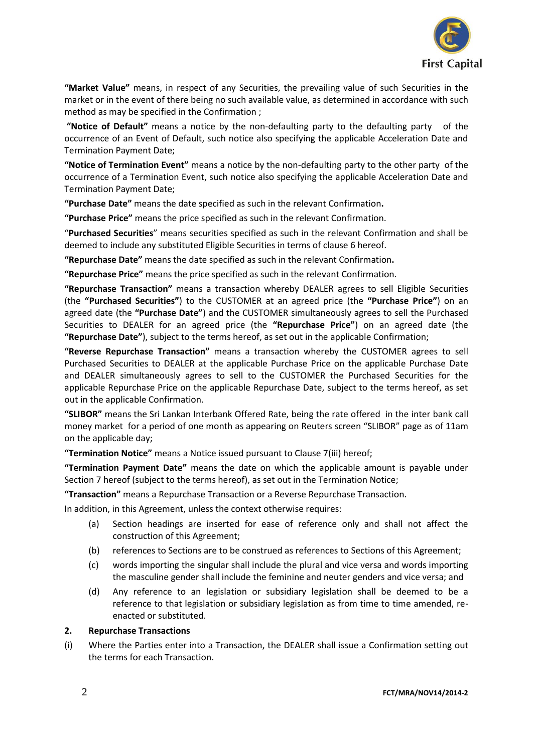

**"Market Value"** means, in respect of any Securities, the prevailing value of such Securities in the market or in the event of there being no such available value, as determined in accordance with such method as may be specified in the Confirmation ;

**"Notice of Default"** means a notice by the non-defaulting party to the defaulting party of the occurrence of an Event of Default, such notice also specifying the applicable Acceleration Date and Termination Payment Date;

**"Notice of Termination Event"** means a notice by the non-defaulting party to the other party of the occurrence of a Termination Event, such notice also specifying the applicable Acceleration Date and Termination Payment Date;

**"Purchase Date"** means the date specified as such in the relevant Confirmation**.**

**"Purchase Price"** means the price specified as such in the relevant Confirmation.

"**Purchased Securities**" means securities specified as such in the relevant Confirmation and shall be deemed to include any substituted Eligible Securities in terms of clause 6 hereof.

**"Repurchase Date"** means the date specified as such in the relevant Confirmation**.**

**"Repurchase Price"** means the price specified as such in the relevant Confirmation.

**"Repurchase Transaction"** means a transaction whereby DEALER agrees to sell Eligible Securities (the **"Purchased Securities"**) to the CUSTOMER at an agreed price (the **"Purchase Price"**) on an agreed date (the **"Purchase Date"**) and the CUSTOMER simultaneously agrees to sell the Purchased Securities to DEALER for an agreed price (the **"Repurchase Price"**) on an agreed date (the **"Repurchase Date"**), subject to the terms hereof, as set out in the applicable Confirmation;

**"Reverse Repurchase Transaction"** means a transaction whereby the CUSTOMER agrees to sell Purchased Securities to DEALER at the applicable Purchase Price on the applicable Purchase Date and DEALER simultaneously agrees to sell to the CUSTOMER the Purchased Securities for the applicable Repurchase Price on the applicable Repurchase Date, subject to the terms hereof, as set out in the applicable Confirmation.

**"SLIBOR"** means the Sri Lankan Interbank Offered Rate, being the rate offered in the inter bank call money market for a period of one month as appearing on Reuters screen "SLIBOR" page as of 11am on the applicable day;

**"Termination Notice"** means a Notice issued pursuant to Clause 7(iii) hereof;

**"Termination Payment Date"** means the date on which the applicable amount is payable under Section 7 hereof (subject to the terms hereof), as set out in the Termination Notice;

**"Transaction"** means a Repurchase Transaction or a Reverse Repurchase Transaction.

In addition, in this Agreement, unless the context otherwise requires:

- (a) Section headings are inserted for ease of reference only and shall not affect the construction of this Agreement;
- (b) references to Sections are to be construed as references to Sections of this Agreement;
- (c) words importing the singular shall include the plural and vice versa and words importing the masculine gender shall include the feminine and neuter genders and vice versa; and
- (d) Any reference to an legislation or subsidiary legislation shall be deemed to be a reference to that legislation or subsidiary legislation as from time to time amended, reenacted or substituted.

### **2. Repurchase Transactions**

(i) Where the Parties enter into a Transaction, the DEALER shall issue a Confirmation setting out the terms for each Transaction.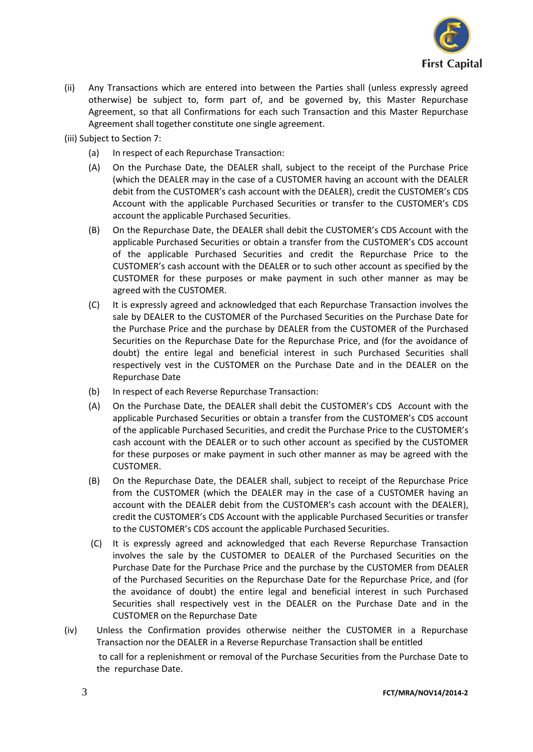

- (ii) Any Transactions which are entered into between the Parties shall (unless expressly agreed otherwise) be subject to, form part of, and be governed by, this Master Repurchase Agreement, so that all Confirmations for each such Transaction and this Master Repurchase Agreement shall together constitute one single agreement.
- (iii) Subject to Section 7:
	- (a) In respect of each Repurchase Transaction:
	- (A) On the Purchase Date, the DEALER shall, subject to the receipt of the Purchase Price (which the DEALER may in the case of a CUSTOMER having an account with the DEALER debit from the CUSTOMER's cash account with the DEALER), credit the CUSTOMER's CDS Account with the applicable Purchased Securities or transfer to the CUSTOMER's CDS account the applicable Purchased Securities.
	- (B) On the Repurchase Date, the DEALER shall debit the CUSTOMER's CDS Account with the applicable Purchased Securities or obtain a transfer from the CUSTOMER's CDS account of the applicable Purchased Securities and credit the Repurchase Price to the CUSTOMER's cash account with the DEALER or to such other account as specified by the CUSTOMER for these purposes or make payment in such other manner as may be agreed with the CUSTOMER.
	- (C) It is expressly agreed and acknowledged that each Repurchase Transaction involves the sale by DEALER to the CUSTOMER of the Purchased Securities on the Purchase Date for the Purchase Price and the purchase by DEALER from the CUSTOMER of the Purchased Securities on the Repurchase Date for the Repurchase Price, and (for the avoidance of doubt) the entire legal and beneficial interest in such Purchased Securities shall respectively vest in the CUSTOMER on the Purchase Date and in the DEALER on the Repurchase Date
	- (b) In respect of each Reverse Repurchase Transaction:
	- (A) On the Purchase Date, the DEALER shall debit the CUSTOMER's CDS Account with the applicable Purchased Securities or obtain a transfer from the CUSTOMER's CDS account of the applicable Purchased Securities, and credit the Purchase Price to the CUSTOMER's cash account with the DEALER or to such other account as specified by the CUSTOMER for these purposes or make payment in such other manner as may be agreed with the CUSTOMER.
	- (B) On the Repurchase Date, the DEALER shall, subject to receipt of the Repurchase Price from the CUSTOMER (which the DEALER may in the case of a CUSTOMER having an account with the DEALER debit from the CUSTOMER's cash account with the DEALER), credit the CUSTOMER's CDS Account with the applicable Purchased Securities or transfer to the CUSTOMER's CDS account the applicable Purchased Securities.
	- (C) It is expressly agreed and acknowledged that each Reverse Repurchase Transaction involves the sale by the CUSTOMER to DEALER of the Purchased Securities on the Purchase Date for the Purchase Price and the purchase by the CUSTOMER from DEALER of the Purchased Securities on the Repurchase Date for the Repurchase Price, and (for the avoidance of doubt) the entire legal and beneficial interest in such Purchased Securities shall respectively vest in the DEALER on the Purchase Date and in the CUSTOMER on the Repurchase Date
- (iv) Unless the Confirmation provides otherwise neither the CUSTOMER in a Repurchase Transaction nor the DEALER in a Reverse Repurchase Transaction shall be entitled to call for a replenishment or removal of the Purchase Securities from the Purchase Date to the repurchase Date.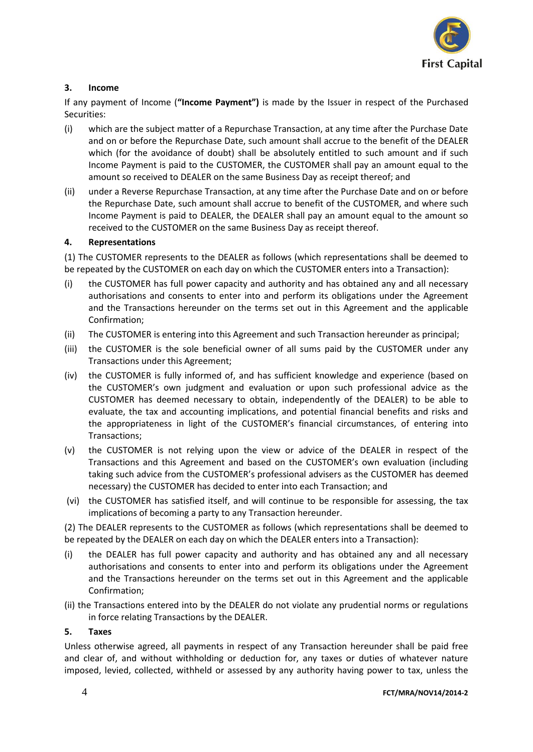

# **3. Income**

If any payment of Income (**"Income Payment")** is made by the Issuer in respect of the Purchased Securities:

- (i) which are the subject matter of a Repurchase Transaction, at any time after the Purchase Date and on or before the Repurchase Date, such amount shall accrue to the benefit of the DEALER which (for the avoidance of doubt) shall be absolutely entitled to such amount and if such Income Payment is paid to the CUSTOMER, the CUSTOMER shall pay an amount equal to the amount so received to DEALER on the same Business Day as receipt thereof; and
- (ii) under a Reverse Repurchase Transaction, at any time after the Purchase Date and on or before the Repurchase Date, such amount shall accrue to benefit of the CUSTOMER, and where such Income Payment is paid to DEALER, the DEALER shall pay an amount equal to the amount so received to the CUSTOMER on the same Business Day as receipt thereof.

#### **4. Representations**

(1) The CUSTOMER represents to the DEALER as follows (which representations shall be deemed to be repeated by the CUSTOMER on each day on which the CUSTOMER enters into a Transaction):

- (i) the CUSTOMER has full power capacity and authority and has obtained any and all necessary authorisations and consents to enter into and perform its obligations under the Agreement and the Transactions hereunder on the terms set out in this Agreement and the applicable Confirmation;
- (ii) The CUSTOMER is entering into this Agreement and such Transaction hereunder as principal;
- (iii) the CUSTOMER is the sole beneficial owner of all sums paid by the CUSTOMER under any Transactions under this Agreement;
- (iv) the CUSTOMER is fully informed of, and has sufficient knowledge and experience (based on the CUSTOMER's own judgment and evaluation or upon such professional advice as the CUSTOMER has deemed necessary to obtain, independently of the DEALER) to be able to evaluate, the tax and accounting implications, and potential financial benefits and risks and the appropriateness in light of the CUSTOMER's financial circumstances, of entering into Transactions;
- (v) the CUSTOMER is not relying upon the view or advice of the DEALER in respect of the Transactions and this Agreement and based on the CUSTOMER's own evaluation (including taking such advice from the CUSTOMER's professional advisers as the CUSTOMER has deemed necessary) the CUSTOMER has decided to enter into each Transaction; and
- (vi) the CUSTOMER has satisfied itself, and will continue to be responsible for assessing, the tax implications of becoming a party to any Transaction hereunder.

(2) The DEALER represents to the CUSTOMER as follows (which representations shall be deemed to be repeated by the DEALER on each day on which the DEALER enters into a Transaction):

- (i) the DEALER has full power capacity and authority and has obtained any and all necessary authorisations and consents to enter into and perform its obligations under the Agreement and the Transactions hereunder on the terms set out in this Agreement and the applicable Confirmation;
- (ii) the Transactions entered into by the DEALER do not violate any prudential norms or regulations in force relating Transactions by the DEALER.

#### **5. Taxes**

Unless otherwise agreed, all payments in respect of any Transaction hereunder shall be paid free and clear of, and without withholding or deduction for, any taxes or duties of whatever nature imposed, levied, collected, withheld or assessed by any authority having power to tax, unless the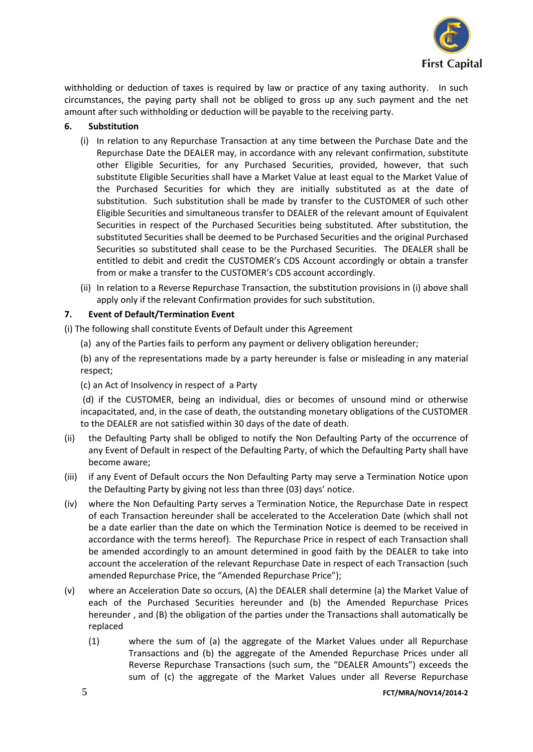

withholding or deduction of taxes is required by law or practice of any taxing authority. In such circumstances, the paying party shall not be obliged to gross up any such payment and the net amount after such withholding or deduction will be payable to the receiving party.

## **6. Substitution**

- (i) In relation to any Repurchase Transaction at any time between the Purchase Date and the Repurchase Date the DEALER may, in accordance with any relevant confirmation, substitute other Eligible Securities, for any Purchased Securities, provided, however, that such substitute Eligible Securities shall have a Market Value at least equal to the Market Value of the Purchased Securities for which they are initially substituted as at the date of substitution. Such substitution shall be made by transfer to the CUSTOMER of such other Eligible Securities and simultaneous transfer to DEALER of the relevant amount of Equivalent Securities in respect of the Purchased Securities being substituted. After substitution, the substituted Securities shall be deemed to be Purchased Securities and the original Purchased Securities so substituted shall cease to be the Purchased Securities. The DEALER shall be entitled to debit and credit the CUSTOMER's CDS Account accordingly or obtain a transfer from or make a transfer to the CUSTOMER's CDS account accordingly.
- (ii) In relation to a Reverse Repurchase Transaction, the substitution provisions in (i) above shall apply only if the relevant Confirmation provides for such substitution.

### **7. Event of Default/Termination Event**

(i) The following shall constitute Events of Default under this Agreement

- (a) any of the Parties fails to perform any payment or delivery obligation hereunder;
- (b) any of the representations made by a party hereunder is false or misleading in any material respect;
- (c) an Act of Insolvency in respect of a Party

(d) if the CUSTOMER, being an individual, dies or becomes of unsound mind or otherwise incapacitated, and, in the case of death, the outstanding monetary obligations of the CUSTOMER to the DEALER are not satisfied within 30 days of the date of death.

- (ii) the Defaulting Party shall be obliged to notify the Non Defaulting Party of the occurrence of any Event of Default in respect of the Defaulting Party, of which the Defaulting Party shall have become aware;
- (iii) if any Event of Default occurs the Non Defaulting Party may serve a Termination Notice upon the Defaulting Party by giving not less than three (03) days' notice.
- (iv) where the Non Defaulting Party serves a Termination Notice, the Repurchase Date in respect of each Transaction hereunder shall be accelerated to the Acceleration Date (which shall not be a date earlier than the date on which the Termination Notice is deemed to be received in accordance with the terms hereof). The Repurchase Price in respect of each Transaction shall be amended accordingly to an amount determined in good faith by the DEALER to take into account the acceleration of the relevant Repurchase Date in respect of each Transaction (such amended Repurchase Price, the "Amended Repurchase Price");
- (v) where an Acceleration Date so occurs, (A) the DEALER shall determine (a) the Market Value of each of the Purchased Securities hereunder and (b) the Amended Repurchase Prices hereunder , and (B) the obligation of the parties under the Transactions shall automatically be replaced
	- (1) where the sum of (a) the aggregate of the Market Values under all Repurchase Transactions and (b) the aggregate of the Amended Repurchase Prices under all Reverse Repurchase Transactions (such sum, the "DEALER Amounts") exceeds the sum of (c) the aggregate of the Market Values under all Reverse Repurchase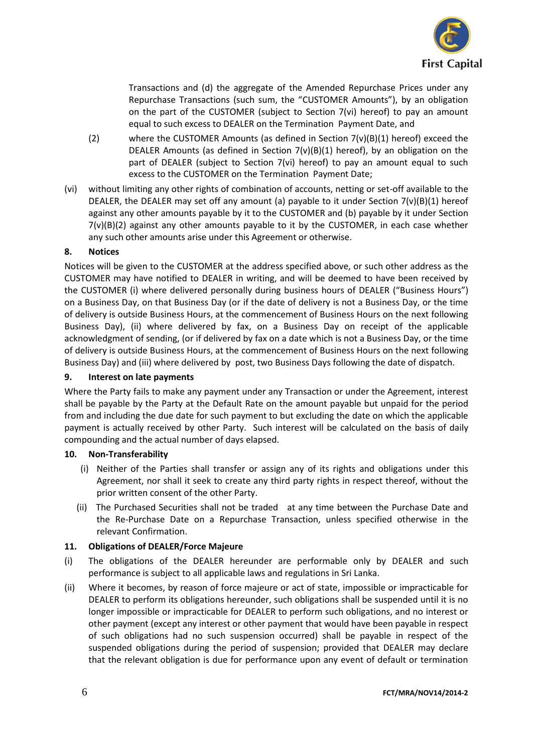

Transactions and (d) the aggregate of the Amended Repurchase Prices under any Repurchase Transactions (such sum, the "CUSTOMER Amounts"), by an obligation on the part of the CUSTOMER (subject to Section 7(vi) hereof) to pay an amount equal to such excess to DEALER on the Termination Payment Date, and

- (2) where the CUSTOMER Amounts (as defined in Section  $7(v)(B)(1)$  hereof) exceed the DEALER Amounts (as defined in Section  $7(v)(B)(1)$  hereof), by an obligation on the part of DEALER (subject to Section 7(vi) hereof) to pay an amount equal to such excess to the CUSTOMER on the Termination Payment Date;
- (vi) without limiting any other rights of combination of accounts, netting or set-off available to the DEALER, the DEALER may set off any amount (a) payable to it under Section  $7(v)(B)(1)$  hereof against any other amounts payable by it to the CUSTOMER and (b) payable by it under Section  $7(v)(B)(2)$  against any other amounts payable to it by the CUSTOMER, in each case whether any such other amounts arise under this Agreement or otherwise.

### **8. Notices**

Notices will be given to the CUSTOMER at the address specified above, or such other address as the CUSTOMER may have notified to DEALER in writing, and will be deemed to have been received by the CUSTOMER (i) where delivered personally during business hours of DEALER ("Business Hours") on a Business Day, on that Business Day (or if the date of delivery is not a Business Day, or the time of delivery is outside Business Hours, at the commencement of Business Hours on the next following Business Day), (ii) where delivered by fax, on a Business Day on receipt of the applicable acknowledgment of sending, (or if delivered by fax on a date which is not a Business Day, or the time of delivery is outside Business Hours, at the commencement of Business Hours on the next following Business Day) and (iii) where delivered by post, two Business Days following the date of dispatch.

#### **9. Interest on late payments**

Where the Party fails to make any payment under any Transaction or under the Agreement, interest shall be payable by the Party at the Default Rate on the amount payable but unpaid for the period from and including the due date for such payment to but excluding the date on which the applicable payment is actually received by other Party. Such interest will be calculated on the basis of daily compounding and the actual number of days elapsed.

#### **10. Non-Transferability**

- (i) Neither of the Parties shall transfer or assign any of its rights and obligations under this Agreement, nor shall it seek to create any third party rights in respect thereof, without the prior written consent of the other Party.
- (ii) The Purchased Securities shall not be traded at any time between the Purchase Date and the Re-Purchase Date on a Repurchase Transaction, unless specified otherwise in the relevant Confirmation.

# **11. Obligations of DEALER/Force Majeure**

- (i) The obligations of the DEALER hereunder are performable only by DEALER and such performance is subject to all applicable laws and regulations in Sri Lanka.
- (ii) Where it becomes, by reason of force majeure or act of state, impossible or impracticable for DEALER to perform its obligations hereunder, such obligations shall be suspended until it is no longer impossible or impracticable for DEALER to perform such obligations, and no interest or other payment (except any interest or other payment that would have been payable in respect of such obligations had no such suspension occurred) shall be payable in respect of the suspended obligations during the period of suspension; provided that DEALER may declare that the relevant obligation is due for performance upon any event of default or termination